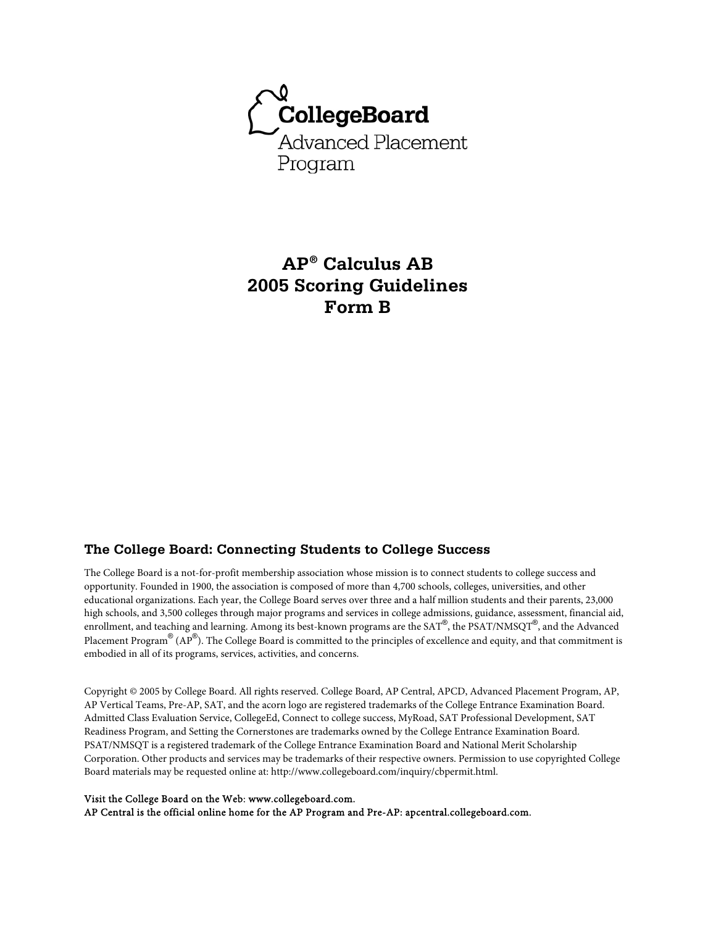

# **AP® Calculus AB 2005 Scoring Guidelines Form B**

### **The College Board: Connecting Students to College Success**

The College Board is a not-for-profit membership association whose mission is to connect students to college success and opportunity. Founded in 1900, the association is composed of more than 4,700 schools, colleges, universities, and other educational organizations. Each year, the College Board serves over three and a half million students and their parents, 23,000 high schools, and 3,500 colleges through major programs and services in college admissions, guidance, assessment, financial aid, enrollment, and teaching and learning. Among its best-known programs are the SAT®, the PSAT/NMSQT®, and the Advanced Placement Program® (AP®). The College Board is committed to the principles of excellence and equity, and that commitment is embodied in all of its programs, services, activities, and concerns.

Copyright © 2005 by College Board. All rights reserved. College Board, AP Central, APCD, Advanced Placement Program, AP, AP Vertical Teams, Pre-AP, SAT, and the acorn logo are registered trademarks of the College Entrance Examination Board. Admitted Class Evaluation Service, CollegeEd, Connect to college success, MyRoad, SAT Professional Development, SAT Readiness Program, and Setting the Cornerstones are trademarks owned by the College Entrance Examination Board. PSAT/NMSQT is a registered trademark of the College Entrance Examination Board and National Merit Scholarship Corporation. Other products and services may be trademarks of their respective owners. Permission to use copyrighted College Board materials may be requested online at: http://www.collegeboard.com/inquiry/cbpermit.html.

#### Visit the College Board on the Web: www.collegeboard.com.

AP Central is the official online home for the AP Program and Pre-AP: apcentral.collegeboard.com.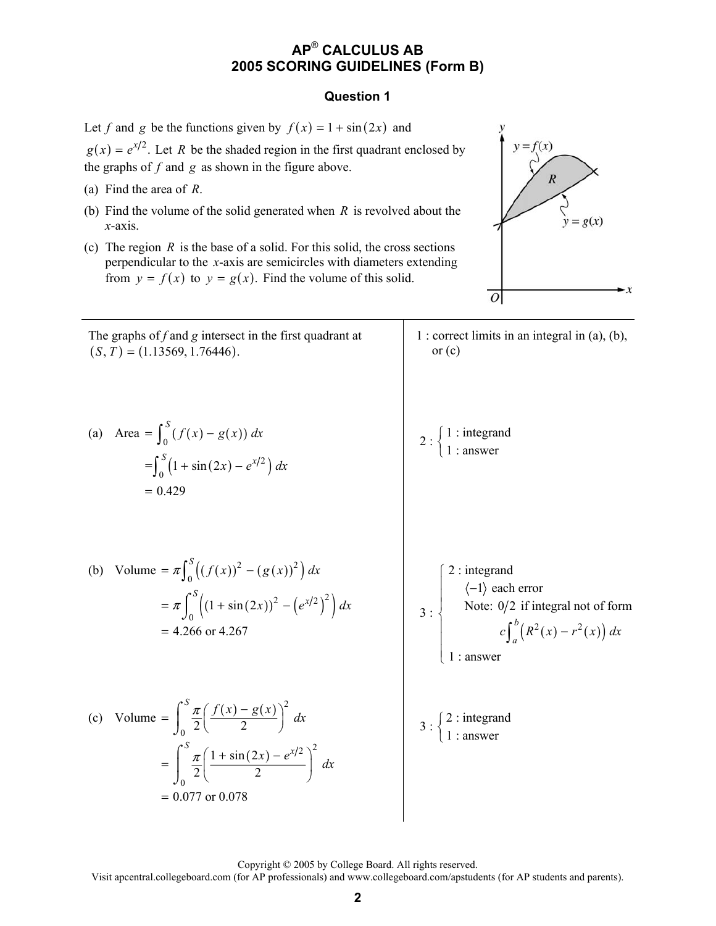### **Question 1**

Let *f* and *g* be the functions given by  $f(x) = 1 + \sin(2x)$  and  $g(x) = e^{x/2}$ . Let *R* be the shaded region in the first quadrant enclosed by the graphs of  $f$  and  $g$  as shown in the figure above.

- (a) Find the area of *R*.
- (b) Find the volume of the solid generated when *R* is revolved about the *x*-axis.
- (c) The region  $R$  is the base of a solid. For this solid, the cross sections perpendicular to the *x*-axis are semicircles with diameters extending from  $y = f(x)$  to  $y = g(x)$ . Find the volume of this solid.



The graphs of f and g intersect in the first quadrant at  
\n
$$
(S, T) = (1.13569, 1.76446).
$$
  
\n(a) Area =  $\int_0^S (f(x) - g(x)) dx$   
\n $= \int_0^S (1 + \sin(2x) - e^{x/2}) dx$   
\n $= 0.429$   
\n(b) Volume =  $\pi \int_0^S ((f(x))^2 - (g(x))^2) dx$   
\n $= \pi \int_0^S ((1 + \sin(2x))^2 - (e^{x/2})^2) dx$   
\n $= 4.266$  or  $4.267$   
\n(c) Volume =  $\int_0^S \frac{\pi}{2} (\frac{f(x) - g(x)}{2})^2 dx$   
\n $= \int_0^S \frac{\pi}{2} (\frac{f(x) - g(x)}{2})^2 dx$   
\n $= \int_0^S \frac{\pi}{2} (\frac{1 + \sin(2x) - e^{x/2}}{2})^2 dx$   
\n $= 0.077$  or  $0.078$   
\n $\begin{array}{c}2:\text{integral not of form} \\ \text{I: answer} \end{array}$   
\n $3:\begin{cases}2:\text{integral} \\ \text{II: answer}\end{cases}$   
\n $3:\begin{cases}2:\text{integral} \\ \text{II: answer}\end{cases}$   
\n $3:\begin{cases}2:\text{integral} \\ \text{II: answer}\end{cases}$   
\n $3:\begin{cases}2:\text{integral} \\ \text{II: answer}\end{cases}$ 

Copyright © 2005 by College Board. All rights reserved.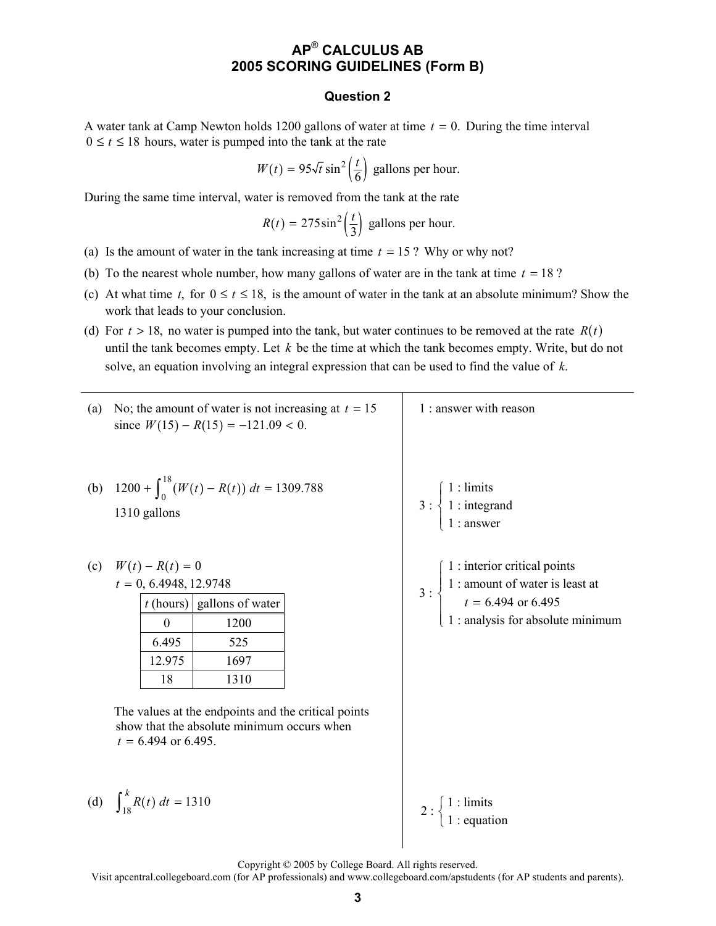#### **Question 2**

A water tank at Camp Newton holds 1200 gallons of water at time *t* = 0. During the time interval  $0 \le t \le 18$  hours, water is pumped into the tank at the rate

$$
W(t) = 95\sqrt{t}\sin^2\left(\frac{t}{6}\right)
$$
 gallons per hour.

During the same time interval, water is removed from the tank at the rate

$$
R(t) = 275 \sin^2\left(\frac{t}{3}\right)
$$
 gallons per hour.

- (a) Is the amount of water in the tank increasing at time  $t = 15$ ? Why or why not?
- (b) To the nearest whole number, how many gallons of water are in the tank at time  $t = 18$  ?
- (c) At what time *t*, for  $0 \le t \le 18$ , is the amount of water in the tank at an absolute minimum? Show the work that leads to your conclusion.
- (d) For  $t > 18$ , no water is pumped into the tank, but water continues to be removed at the rate  $R(t)$ until the tank becomes empty. Let *k* be the time at which the tank becomes empty. Write, but do not solve, an equation involving an integral expression that can be used to find the value of *k*.

(a) No; the amount of water is not increasing at 
$$
t = 15
$$
 since  $W(15) - R(15) = -121.09 < 0$ .

(b) 
$$
1200 + \int_0^{18} (W(t) - R(t)) dt = 1309.788
$$
  
1310 gallons 3:

(c) 
$$
W(t) - R(t) = 0
$$
  
\n $t = 0, 6.4948, 12.9748$ 

|        | $t$ (hours) gallons of water |
|--------|------------------------------|
|        | 1200                         |
| 6.495  | 525                          |
| 12.975 | 1697                         |
| 18     | 1310                         |

The values at the endpoints and the critical points show that the absolute minimum occurs when  $t = 6.494$  or 6.495.

(d) 
$$
\int_{18}^{k} R(t) dt = 1310
$$

 $\int_{18}^{8} R(t) dt = 1310$   $2 : \begin{cases} 1 : \text{limits} \\ 1 : \text{equation} \end{cases}$  $\left\{ \begin{matrix} 1 \\ 1 \\ 1 \end{matrix} \right.$ 

1 : answer with reason

 1 : limits  $\left\{\n\begin{array}{l}\n1:\text{integrand}\n\end{array}\n\right\}$ 1 : answer

 $3:\left\{\n\begin{array}{l}\n1:\text{amount of water is least at} \\
\end{array}\n\right.$  $\int 1$ : interior critical points

 $\left( 1: \text{analysis for absolute minimum} \right)$ 

 $t = 6.494$  or 6.495

 $\sqrt{ }$ ⎨  $\mathbf{I}$  $\overline{a}$ 

 $\vert$ 

 $\begin{cases} \qquad t = \end{cases}$ 

Copyright © 2005 by College Board. All rights reserved.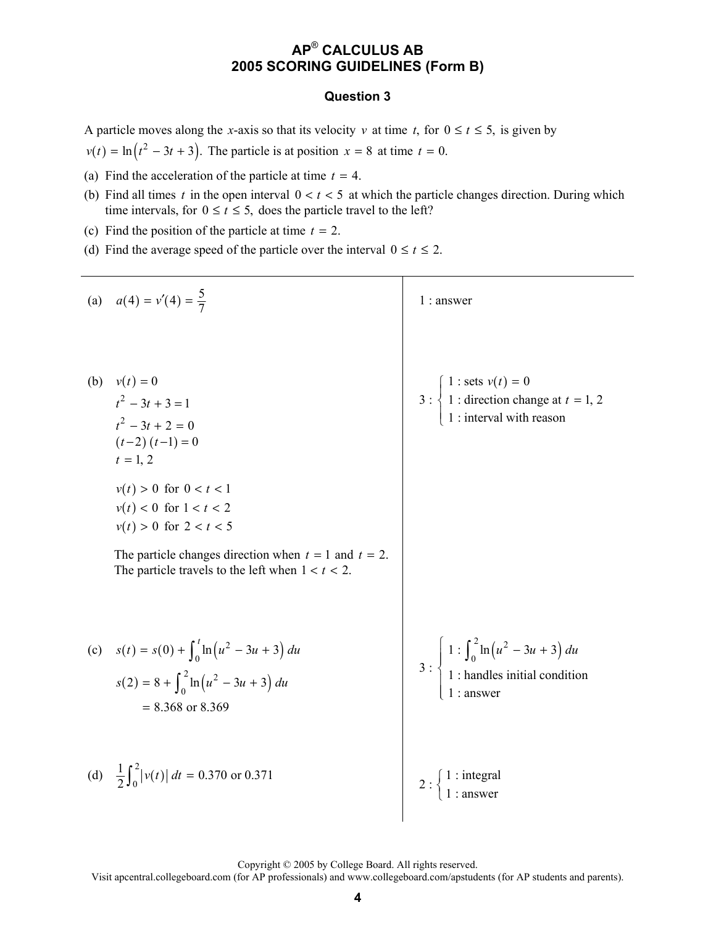### **Question 3**

A particle moves along the *x*-axis so that its velocity *v* at time *t*, for  $0 \le t \le 5$ , is given by

 $v(t) = \ln(t^2 - 3t + 3)$ . The particle is at position  $x = 8$  at time  $t = 0$ .

- (a) Find the acceleration of the particle at time  $t = 4$ .
- (b) Find all times *t* in the open interval  $0 < t < 5$  at which the particle changes direction. During which time intervals, for  $0 \le t \le 5$ , does the particle travel to the left?
- (c) Find the position of the particle at time  $t = 2$ .
- (d) Find the average speed of the particle over the interval  $0 \le t \le 2$ .

(a) 
$$
a(4) = v'(4) = \frac{5}{7}
$$
  
\n(b)  $v(t) = 0$   
\n $t^2 - 3t + 3 = 1$   
\n $t^2 - 3t + 2 = 0$   
\n $(t-2) (t-1) = 0$   
\n $t = 1, 2$   
\n $v(t) > 0$  for  $0 < t < 1$   
\n $v(t) > 0$  for  $1 < t < 2$   
\n $v(t) > 0$  for  $1 < t < 2$   
\n $v(t) > 0$  for  $1 < t < 2$   
\n $v(t) > 0$  for  $2 < t < 5$   
\nThe particle changes direction when  $t = 1$  and  $t = 2$ .  
\nThe particle travels to the left when  $1 < t < 2$ .  
\n(c)  $s(t) = s(0) + \int_0^t \ln(u^2 - 3u + 3) du$   
\n $s(2) = 8 + \int_0^2 \ln(u^2 - 3u + 3) du$   
\n $= 8.368$  or  $8.369$   
\n(d)  $\frac{1}{2} \int_0^2 |v(t)| dt = 0.370$  or  $0.371$   
\n2: {1: integral

Copyright © 2005 by College Board. All rights reserved.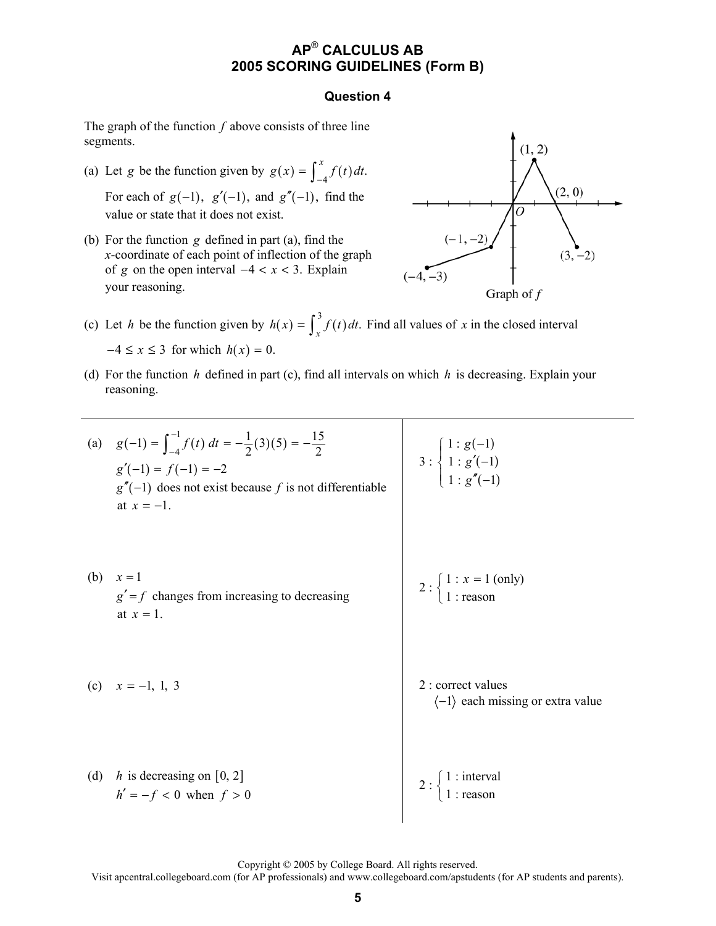### **Question 4**

The graph of the function *f* above consists of three line segments.

- (a) Let *g* be the function given by  $g(x) = \int_{-4}^{x} f(t) dt$ . For each of  $g(-1)$ ,  $g'(-1)$ , and  $g''(-1)$ , find the value or state that it does not exist.
- (b) For the function *g* defined in part (a), find the *x*-coordinate of each point of inflection of the graph of *g* on the open interval  $-4 < x < 3$ . Explain your reasoning.



- (c) Let *h* be the function given by  $h(x) = \int_x^3 f(t) dt$ . Find all values of *x* in the closed interval  $-4 \le x \le 3$  for which  $h(x) = 0$ .
- (d) For the function *h* defined in part (c), find all intervals on which *h* is decreasing. Explain your reasoning.
- (a)  $g(-1) = \int_{-1}^{-1} f(t) dt = -\frac{1}{2}(3)(5)$  $g(-1) = \int_{-4}^{-1} f(t) dt = -\frac{1}{2}(3)(5) = -\frac{15}{2}$  $g'(-1) = f(-1) = -2$  $g''(-1)$  does not exist because *f* is not differentiable at  $x = -1$ . 3 :  $(-1)$  $(-1)$  $(-1)$  $1 : g(-1)$  $1 : g'(-1)$  $1 : g''(-1)$ *g g g*  $\begin{cases} 1: g(-) \\ 1 \end{cases}$  $\langle 1 : g'( \left(1 : g''(-\right)$ (b)  $x = 1$  $g' = f$  changes from increasing to decreasing at  $x = 1$ . 2 :  $\begin{cases} 1 : x = 1 \text{ (only)} \\ 1 : \text{reason} \end{cases}$ (c)  $x = -1, 1, 3$  2 : correct values  $\langle -1 \rangle$  each missing or extra value (d)  $h$  is decreasing on [0, 2]  $h' = -f < 0$  when  $f > 0$  $2:\begin{cases}1:\text{interval}\\1:\text{reason}\end{cases}$  $\left\{ \begin{matrix} 1 \\ 1 \\ 1 \end{matrix} \right.$

Copyright © 2005 by College Board. All rights reserved.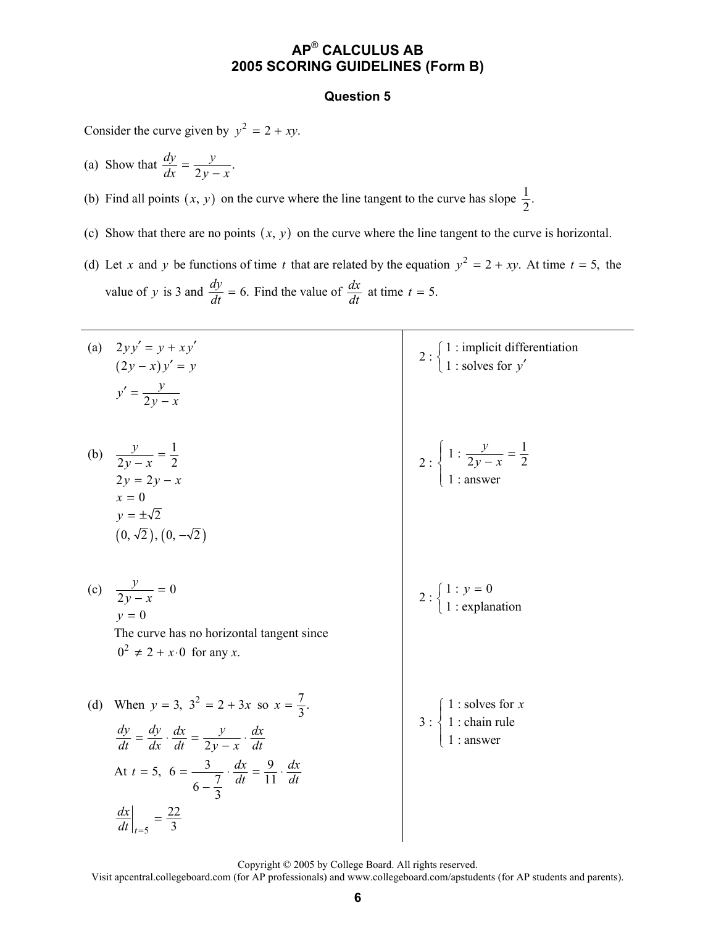#### **Question 5**

Consider the curve given by  $y^2 = 2 + xy$ .

(a) Show that  $\frac{dy}{dx} = \frac{y}{2y - x}$ .

(b) Find all points  $(x, y)$  on the curve where the line tangent to the curve has slope  $\frac{1}{2}$ .

- (c) Show that there are no points  $(x, y)$  on the curve where the line tangent to the curve is horizontal.
- (d) Let *x* and *y* be functions of time *t* that are related by the equation  $y^2 = 2 + xy$ . At time  $t = 5$ , the value of *y* is 3 and  $\frac{dy}{dt} = 6$ . Find the value of  $\frac{dx}{dt}$  at time  $t = 5$ .

|     | (a) $2yy' = y + xy'$<br>$(2y - x)y' = y$<br>$y' = \frac{y}{2y - x}$                                                                                                                                                                                                                                              | 2 : $\begin{cases} 1 : \text{implicit differentiation} \\ 1 : \text{ solves for } y' \end{cases}$                     |
|-----|------------------------------------------------------------------------------------------------------------------------------------------------------------------------------------------------------------------------------------------------------------------------------------------------------------------|-----------------------------------------------------------------------------------------------------------------------|
|     | (b) $\frac{y}{2y-x} = \frac{1}{2}$<br>$2y = 2y - x$<br>$x = 0$<br>$y = \pm \sqrt{2}$<br>$(0, \sqrt{2}), (0, -\sqrt{2})$                                                                                                                                                                                          | 2 : $\begin{cases} 1 : \frac{y}{2y - x} = \frac{1}{2} \\ 1 : \text{answer} \end{cases}$                               |
|     | (c) $\frac{y}{2y-x} = 0$<br>$y=0$<br>The curve has no horizontal tangent since<br>$0^2 \neq 2 + x \cdot 0$ for any x.                                                                                                                                                                                            | 2 : $\begin{cases} 1 : y = 0 \\ 1 : \text{explanation} \end{cases}$                                                   |
| (d) | When $y = 3$ , $3^2 = 2 + 3x$ so $x = \frac{7}{3}$ .<br>$\frac{dy}{dt} = \frac{dy}{dx} \cdot \frac{dx}{dt} = \frac{y}{2y - x} \cdot \frac{dx}{dt}$<br>At $t = 5$ , $6 = \frac{3}{6 - \frac{7}{3}} \cdot \frac{dx}{dt} = \frac{9}{11} \cdot \frac{dx}{dt}$<br>$\left. \frac{dx}{dt} \right _{t=5} = \frac{22}{3}$ | 3 : $\begin{cases} 1 : \text{ solves for } x \\ 1 : \text{chain rule} \\ 1 : \text{cases} \end{cases}$<br>$1:$ answer |

Copyright © 2005 by College Board. All rights reserved.